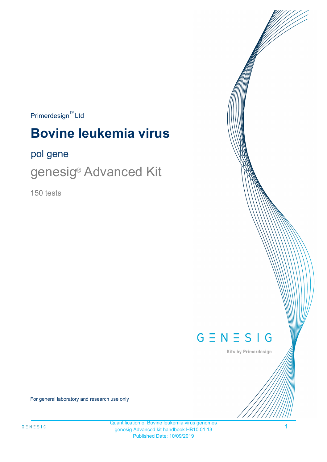### $Primerdesign^{\text{TM}}$ Ltd

# **Bovine leukemia virus**

### pol gene

genesig<sup>®</sup> Advanced Kit

150 tests



Kits by Primerdesign

For general laboratory and research use only

1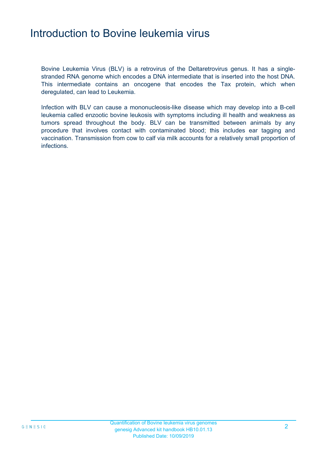### Introduction to Bovine leukemia virus

Bovine Leukemia Virus (BLV) is a retrovirus of the Deltaretrovirus genus. It has a singlestranded RNA genome which encodes a DNA intermediate that is inserted into the host DNA. This intermediate contains an oncogene that encodes the Tax protein, which when deregulated, can lead to Leukemia.

Infection with BLV can cause a mononucleosis-like disease which may develop into a B-cell leukemia called enzootic bovine leukosis with symptoms including ill health and weakness as tumors spread throughout the body. BLV can be transmitted between animals by any procedure that involves contact with contaminated blood; this includes ear tagging and vaccination. Transmission from cow to calf via milk accounts for a relatively small proportion of infections.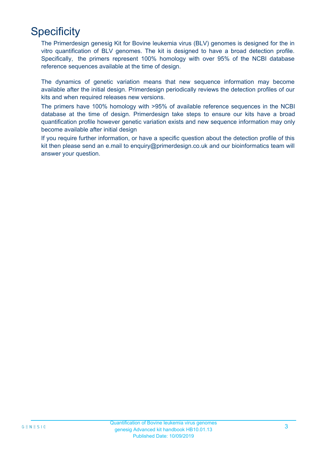## **Specificity**

The Primerdesign genesig Kit for Bovine leukemia virus (BLV) genomes is designed for the in vitro quantification of BLV genomes. The kit is designed to have a broad detection profile. Specifically, the primers represent 100% homology with over 95% of the NCBI database reference sequences available at the time of design.

The dynamics of genetic variation means that new sequence information may become available after the initial design. Primerdesign periodically reviews the detection profiles of our kits and when required releases new versions.

The primers have 100% homology with >95% of available reference sequences in the NCBI database at the time of design. Primerdesign take steps to ensure our kits have a broad quantification profile however genetic variation exists and new sequence information may only become available after initial design

If you require further information, or have a specific question about the detection profile of this kit then please send an e.mail to enquiry@primerdesign.co.uk and our bioinformatics team will answer your question.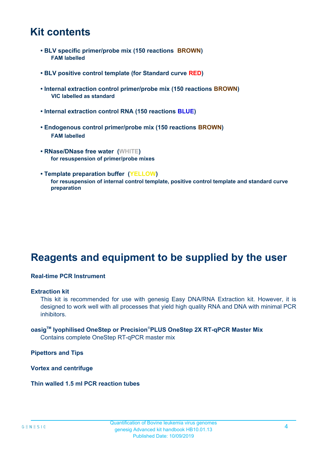### **Kit contents**

- **BLV specific primer/probe mix (150 reactions BROWN) FAM labelled**
- **BLV positive control template (for Standard curve RED)**
- **Internal extraction control primer/probe mix (150 reactions BROWN) VIC labelled as standard**
- **Internal extraction control RNA (150 reactions BLUE)**
- **Endogenous control primer/probe mix (150 reactions BROWN) FAM labelled**
- **RNase/DNase free water (WHITE) for resuspension of primer/probe mixes**
- **Template preparation buffer (YELLOW) for resuspension of internal control template, positive control template and standard curve preparation**

## **Reagents and equipment to be supplied by the user**

#### **Real-time PCR Instrument**

#### **Extraction kit**

This kit is recommended for use with genesig Easy DNA/RNA Extraction kit. However, it is designed to work well with all processes that yield high quality RNA and DNA with minimal PCR inhibitors.

### **oasigTM lyophilised OneStep or Precision**®**PLUS OneStep 2X RT-qPCR Master Mix**

Contains complete OneStep RT-qPCR master mix

**Pipettors and Tips**

**Vortex and centrifuge**

#### **Thin walled 1.5 ml PCR reaction tubes**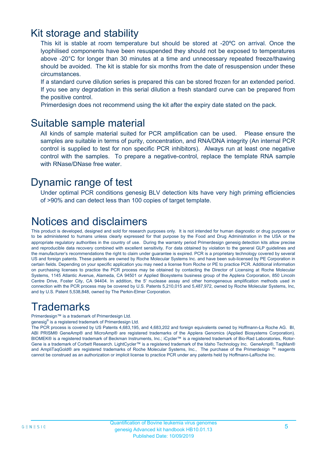### Kit storage and stability

This kit is stable at room temperature but should be stored at -20ºC on arrival. Once the lyophilised components have been resuspended they should not be exposed to temperatures above -20°C for longer than 30 minutes at a time and unnecessary repeated freeze/thawing should be avoided. The kit is stable for six months from the date of resuspension under these circumstances.

If a standard curve dilution series is prepared this can be stored frozen for an extended period. If you see any degradation in this serial dilution a fresh standard curve can be prepared from the positive control.

Primerdesign does not recommend using the kit after the expiry date stated on the pack.

### Suitable sample material

All kinds of sample material suited for PCR amplification can be used. Please ensure the samples are suitable in terms of purity, concentration, and RNA/DNA integrity (An internal PCR control is supplied to test for non specific PCR inhibitors). Always run at least one negative control with the samples. To prepare a negative-control, replace the template RNA sample with RNase/DNase free water.

### Dynamic range of test

Under optimal PCR conditions genesig BLV detection kits have very high priming efficiencies of >90% and can detect less than 100 copies of target template.

## Notices and disclaimers

This product is developed, designed and sold for research purposes only. It is not intended for human diagnostic or drug purposes or to be administered to humans unless clearly expressed for that purpose by the Food and Drug Administration in the USA or the appropriate regulatory authorities in the country of use. During the warranty period Primerdesign genesig detection kits allow precise and reproducible data recovery combined with excellent sensitivity. For data obtained by violation to the general GLP guidelines and the manufacturer's recommendations the right to claim under guarantee is expired. PCR is a proprietary technology covered by several US and foreign patents. These patents are owned by Roche Molecular Systems Inc. and have been sub-licensed by PE Corporation in certain fields. Depending on your specific application you may need a license from Roche or PE to practice PCR. Additional information on purchasing licenses to practice the PCR process may be obtained by contacting the Director of Licensing at Roche Molecular Systems, 1145 Atlantic Avenue, Alameda, CA 94501 or Applied Biosystems business group of the Applera Corporation, 850 Lincoln Centre Drive, Foster City, CA 94404. In addition, the 5' nuclease assay and other homogeneous amplification methods used in connection with the PCR process may be covered by U.S. Patents 5,210,015 and 5,487,972, owned by Roche Molecular Systems, Inc, and by U.S. Patent 5,538,848, owned by The Perkin-Elmer Corporation.

## **Trademarks**

Primerdesign™ is a trademark of Primerdesign Ltd.

genesig® is a registered trademark of Primerdesign Ltd.

The PCR process is covered by US Patents 4,683,195, and 4,683,202 and foreign equivalents owned by Hoffmann-La Roche AG. BI, ABI PRISM® GeneAmp® and MicroAmp® are registered trademarks of the Applera Genomics (Applied Biosystems Corporation). BIOMEK® is a registered trademark of Beckman Instruments, Inc.; iCycler™ is a registered trademark of Bio-Rad Laboratories, Rotor-Gene is a trademark of Corbett Research. LightCycler™ is a registered trademark of the Idaho Technology Inc. GeneAmp®, TaqMan® and AmpliTaqGold® are registered trademarks of Roche Molecular Systems, Inc., The purchase of the Primerdesign ™ reagents cannot be construed as an authorization or implicit license to practice PCR under any patents held by Hoffmann-LaRoche Inc.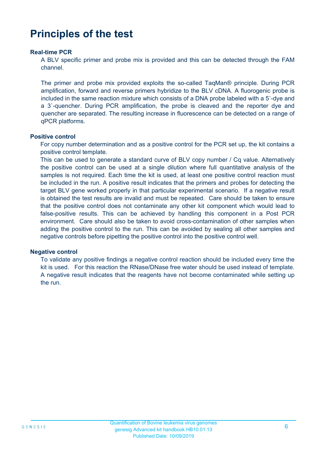## **Principles of the test**

#### **Real-time PCR**

A BLV specific primer and probe mix is provided and this can be detected through the FAM channel.

The primer and probe mix provided exploits the so-called TaqMan® principle. During PCR amplification, forward and reverse primers hybridize to the BLV cDNA. A fluorogenic probe is included in the same reaction mixture which consists of a DNA probe labeled with a 5`-dye and a 3`-quencher. During PCR amplification, the probe is cleaved and the reporter dye and quencher are separated. The resulting increase in fluorescence can be detected on a range of qPCR platforms.

#### **Positive control**

For copy number determination and as a positive control for the PCR set up, the kit contains a positive control template.

This can be used to generate a standard curve of BLV copy number / Cq value. Alternatively the positive control can be used at a single dilution where full quantitative analysis of the samples is not required. Each time the kit is used, at least one positive control reaction must be included in the run. A positive result indicates that the primers and probes for detecting the target BLV gene worked properly in that particular experimental scenario. If a negative result is obtained the test results are invalid and must be repeated. Care should be taken to ensure that the positive control does not contaminate any other kit component which would lead to false-positive results. This can be achieved by handling this component in a Post PCR environment. Care should also be taken to avoid cross-contamination of other samples when adding the positive control to the run. This can be avoided by sealing all other samples and negative controls before pipetting the positive control into the positive control well.

#### **Negative control**

To validate any positive findings a negative control reaction should be included every time the kit is used. For this reaction the RNase/DNase free water should be used instead of template. A negative result indicates that the reagents have not become contaminated while setting up the run.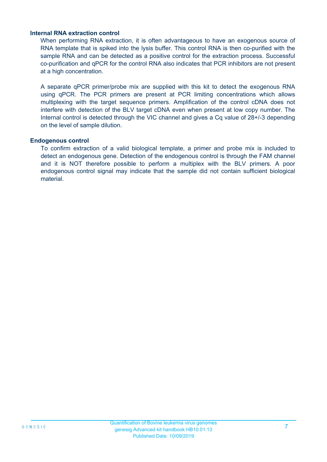#### **Internal RNA extraction control**

When performing RNA extraction, it is often advantageous to have an exogenous source of RNA template that is spiked into the lysis buffer. This control RNA is then co-purified with the sample RNA and can be detected as a positive control for the extraction process. Successful co-purification and qPCR for the control RNA also indicates that PCR inhibitors are not present at a high concentration.

A separate qPCR primer/probe mix are supplied with this kit to detect the exogenous RNA using qPCR. The PCR primers are present at PCR limiting concentrations which allows multiplexing with the target sequence primers. Amplification of the control cDNA does not interfere with detection of the BLV target cDNA even when present at low copy number. The Internal control is detected through the VIC channel and gives a Cq value of 28+/-3 depending on the level of sample dilution.

#### **Endogenous control**

To confirm extraction of a valid biological template, a primer and probe mix is included to detect an endogenous gene. Detection of the endogenous control is through the FAM channel and it is NOT therefore possible to perform a multiplex with the BLV primers. A poor endogenous control signal may indicate that the sample did not contain sufficient biological material.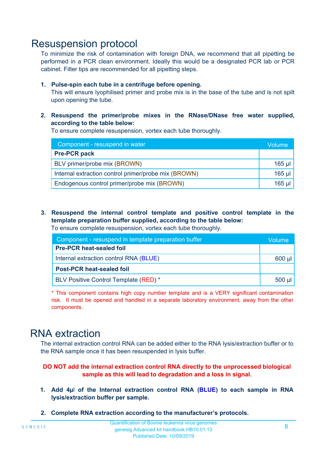### Resuspension protocol

To minimize the risk of contamination with foreign DNA, we recommend that all pipetting be performed in a PCR clean environment. Ideally this would be a designated PCR lab or PCR cabinet. Filter tips are recommended for all pipetting steps.

#### **1. Pulse-spin each tube in a centrifuge before opening.**

This will ensure lyophilised primer and probe mix is in the base of the tube and is not spilt upon opening the tube.

**2. Resuspend the primer/probe mixes in the RNase/DNase free water supplied, according to the table below:**

To ensure complete resuspension, vortex each tube thoroughly.

| Component - resuspend in water                       |          |  |
|------------------------------------------------------|----------|--|
| <b>Pre-PCR pack</b>                                  |          |  |
| BLV primer/probe mix (BROWN)                         | $165$ µl |  |
| Internal extraction control primer/probe mix (BROWN) | $165$ µl |  |
| Endogenous control primer/probe mix (BROWN)          | $165$ µl |  |

**3. Resuspend the internal control template and positive control template in the template preparation buffer supplied, according to the table below:** To ensure complete resuspension, vortex each tube thoroughly.

| Component - resuspend in template preparation buffer |          |  |
|------------------------------------------------------|----------|--|
| <b>Pre-PCR heat-sealed foil</b>                      |          |  |
| Internal extraction control RNA (BLUE)               |          |  |
| <b>Post-PCR heat-sealed foil</b>                     |          |  |
| BLV Positive Control Template (RED) *                | $500$ µl |  |

\* This component contains high copy number template and is a VERY significant contamination risk. It must be opened and handled in a separate laboratory environment, away from the other components.

### RNA extraction

The internal extraction control RNA can be added either to the RNA lysis/extraction buffer or to the RNA sample once it has been resuspended in lysis buffer.

#### **DO NOT add the internal extraction control RNA directly to the unprocessed biological sample as this will lead to degradation and a loss in signal.**

- **1. Add 4µ**l **of the Internal extraction control RNA (BLUE) to each sample in RNA lysis/extraction buffer per sample.**
- **2. Complete RNA extraction according to the manufacturer's protocols.**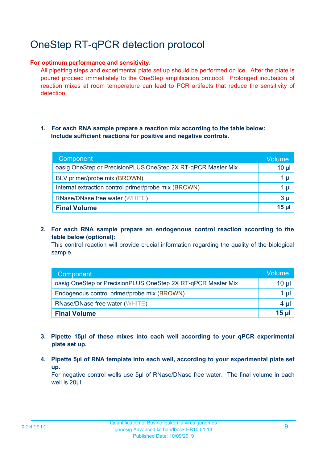## OneStep RT-qPCR detection protocol

#### **For optimum performance and sensitivity.**

All pipetting steps and experimental plate set up should be performed on ice. After the plate is poured proceed immediately to the OneStep amplification protocol. Prolonged incubation of reaction mixes at room temperature can lead to PCR artifacts that reduce the sensitivity of detection.

#### **1. For each RNA sample prepare a reaction mix according to the table below: Include sufficient reactions for positive and negative controls.**

| Component                                                    | Volume   |
|--------------------------------------------------------------|----------|
| oasig OneStep or PrecisionPLUS OneStep 2X RT-qPCR Master Mix | $10 \mu$ |
| BLV primer/probe mix (BROWN)                                 | 1 µl     |
| Internal extraction control primer/probe mix (BROWN)         | 1 µl     |
| <b>RNase/DNase free water (WHITE)</b>                        | $3 \mu$  |
| <b>Final Volume</b>                                          | $15$ µ   |

**2. For each RNA sample prepare an endogenous control reaction according to the table below (optional):**

This control reaction will provide crucial information regarding the quality of the biological sample.

| Component                                                    | <b>Volume</b> |
|--------------------------------------------------------------|---------------|
| oasig OneStep or PrecisionPLUS OneStep 2X RT-qPCR Master Mix | 10 µl         |
| Endogenous control primer/probe mix (BROWN)                  | 1 µI          |
| <b>RNase/DNase free water (WHITE)</b>                        |               |
| <b>Final Volume</b>                                          | 15 ul         |

- **3. Pipette 15µl of these mixes into each well according to your qPCR experimental plate set up.**
- **4. Pipette 5µl of RNA template into each well, according to your experimental plate set up.**

For negative control wells use 5µl of RNase/DNase free water. The final volume in each well is 20ul.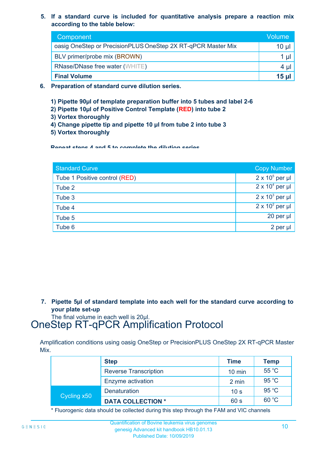**5. If a standard curve is included for quantitative analysis prepare a reaction mix according to the table below:**

| Component                                                    | Volume       |
|--------------------------------------------------------------|--------------|
| oasig OneStep or PrecisionPLUS OneStep 2X RT-qPCR Master Mix | $10 \mu$     |
| BLV primer/probe mix (BROWN)                                 |              |
| <b>RNase/DNase free water (WHITE)</b>                        | $4 \mu$      |
| <b>Final Volume</b>                                          | <u>15 ul</u> |

- **6. Preparation of standard curve dilution series.**
	- **1) Pipette 90µl of template preparation buffer into 5 tubes and label 2-6**
	- **2) Pipette 10µl of Positive Control Template (RED) into tube 2**
	- **3) Vortex thoroughly**
	- **4) Change pipette tip and pipette 10 µl from tube 2 into tube 3**
	- **5) Vortex thoroughly**

**Repeat steps 4 and 5 to complete the dilution series**

| <b>Standard Curve</b>         | <b>Copy Number</b>     |
|-------------------------------|------------------------|
| Tube 1 Positive control (RED) | $2 \times 10^5$ per µl |
| Tube 2                        | $2 \times 10^4$ per µl |
| Tube 3                        | $2 \times 10^3$ per µl |
| Tube 4                        | $2 \times 10^2$ per µl |
| Tube 5                        | 20 per µl              |
| Tube 6                        | 2 per µl               |

**7. Pipette 5µl of standard template into each well for the standard curve according to your plate set-up**

The final volume in each well is 20µl.

## OneStep RT-qPCR Amplification Protocol

Amplification conditions using oasig OneStep or PrecisionPLUS OneStep 2X RT-qPCR Master Mix.

|             | <b>Step</b>                  | <b>Time</b>      | <b>Temp</b> |
|-------------|------------------------------|------------------|-------------|
|             | <b>Reverse Transcription</b> | $10 \text{ min}$ | 55 °C       |
|             | Enzyme activation            | 2 min            | 95 °C       |
| Cycling x50 | Denaturation                 | 10 <sub>s</sub>  | 95 °C       |
|             | <b>DATA COLLECTION *</b>     | 60 s             | 60 °C       |

\* Fluorogenic data should be collected during this step through the FAM and VIC channels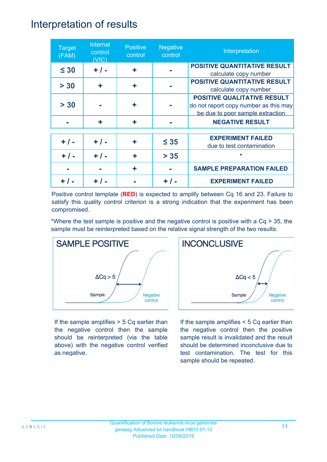### Interpretation of results

| <b>Target</b><br>(FAM) | Internal<br>control<br>(VIC) | <b>Positive</b><br>control | <b>Negative</b><br>control | Interpretation                                                                                                  |
|------------------------|------------------------------|----------------------------|----------------------------|-----------------------------------------------------------------------------------------------------------------|
| $\leq 30$              | $+ / -$                      | ٠                          |                            | <b>POSITIVE QUANTITATIVE RESULT</b><br>calculate copy number                                                    |
| > 30                   | ÷                            | ÷                          |                            | <b>POSITIVE QUANTITATIVE RESULT</b><br>calculate copy number                                                    |
| > 30                   |                              | ٠                          |                            | <b>POSITIVE QUALITATIVE RESULT</b><br>do not report copy number as this may<br>be due to poor sample extraction |
|                        | ÷                            | ٠                          |                            | <b>NEGATIVE RESULT</b>                                                                                          |
| $+ 1 -$                | $+ / -$                      | ٠                          | $\leq 35$                  | <b>EXPERIMENT FAILED</b><br>due to test contamination                                                           |
| $+ 1 -$                | $+ 1 -$                      | ÷                          | $> 35$                     | $\star$                                                                                                         |
|                        |                              | ٠                          |                            | <b>SAMPLE PREPARATION FAILED</b>                                                                                |
|                        |                              |                            |                            | <b>EXPERIMENT FAILED</b>                                                                                        |

Positive control template (**RED**) is expected to amplify between Cq 16 and 23. Failure to satisfy this quality control criterion is a strong indication that the experiment has been compromised.

\*Where the test sample is positive and the negative control is positive with a Cq > 35, the sample must be reinterpreted based on the relative signal strength of the two results:



If the sample amplifies > 5 Cq earlier than the negative control then the sample should be reinterpreted (via the table above) with the negative control verified as negative.



If the sample amplifies < 5 Cq earlier than the negative control then the positive sample result is invalidated and the result should be determined inconclusive due to test contamination. The test for this sample should be repeated.